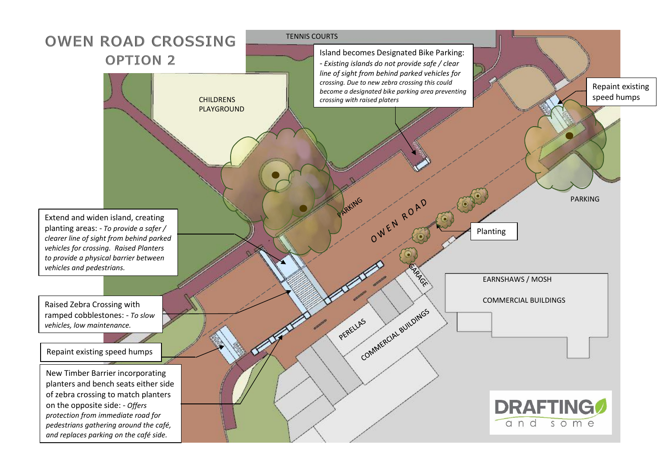